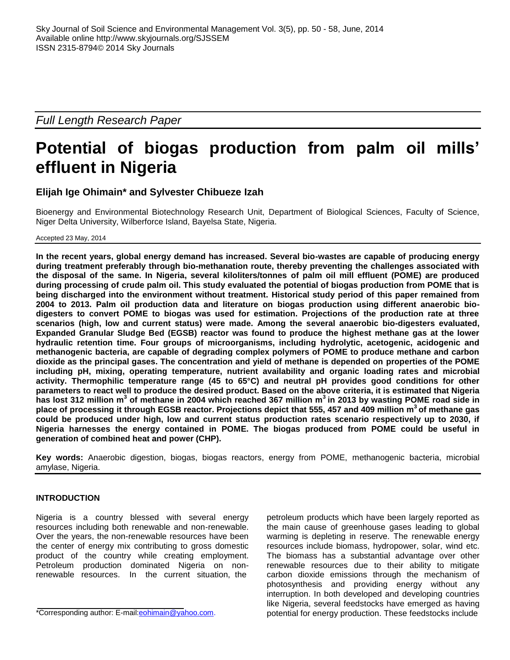*Full Length Research Paper*

# **Potential of biogas production from palm oil mills' effluent in Nigeria**

# **Elijah Ige Ohimain\* and Sylvester Chibueze Izah**

Bioenergy and Environmental Biotechnology Research Unit, Department of Biological Sciences, Faculty of Science, Niger Delta University, Wilberforce Island, Bayelsa State, Nigeria.

Accepted 23 May, 2014

**In the recent years, global energy demand has increased. Several bio-wastes are capable of producing energy during treatment preferably through bio-methanation route, thereby preventing the challenges associated with the disposal of the same. In Nigeria, several kiloliters/tonnes of palm oil mill effluent (POME) are produced during processing of crude palm oil. This study evaluated the potential of biogas production from POME that is being discharged into the environment without treatment. Historical study period of this paper remained from 2004 to 2013. Palm oil production data and literature on biogas production using different anaerobic biodigesters to convert POME to biogas was used for estimation. Projections of the production rate at three scenarios (high, low and current status) were made. Among the several anaerobic bio-digesters evaluated, Expanded Granular Sludge Bed (EGSB) reactor was found to produce the highest methane gas at the lower hydraulic retention time. Four groups of microorganisms, including hydrolytic, acetogenic, acidogenic and methanogenic bacteria, are capable of degrading complex polymers of POME to produce methane and carbon dioxide as the principal gases. The concentration and yield of methane is depended on properties of the POME including pH, mixing, operating temperature, nutrient availability and organic loading rates and microbial activity. Thermophilic temperature range (45 to 65°C) and neutral pH provides good conditions for other parameters to react well to produce the desired product. Based on the above criteria, it is estimated that Nigeria has lost 312 million m<sup>3</sup> of methane in 2004 which reached 367 million m<sup>3</sup> in 2013 by wasting POME road side in place of processing it through EGSB reactor. Projections depict that 555, 457 and 409 million m 3 of methane gas could be produced under high, low and current status production rates scenario respectively up to 2030, if Nigeria harnesses the energy contained in POME. The biogas produced from POME could be useful in generation of combined heat and power (CHP).**

**Key words:** Anaerobic digestion, biogas, biogas reactors, energy from POME, methanogenic bacteria, microbial amylase, Nigeria.

# **INTRODUCTION**

Nigeria is a country blessed with several energy resources including both renewable and non-renewable. Over the years, the non-renewable resources have been the center of energy mix contributing to gross domestic product of the country while creating employment. Petroleum production dominated Nigeria on nonrenewable resources. In the current situation, the

\*Corresponding author: E-mail[:eohimain@yahoo.com.](mailto:eohimain@yahoo.com)

petroleum products which have been largely reported as the main cause of greenhouse gases leading to global warming is depleting in reserve. The renewable energy resources include biomass, hydropower, solar, wind etc. The biomass has a substantial advantage over other renewable resources due to their ability to mitigate carbon dioxide emissions through the mechanism of photosynthesis and providing energy without any interruption. In both developed and developing countries like Nigeria, several feedstocks have emerged as having potential for energy production. These feedstocks include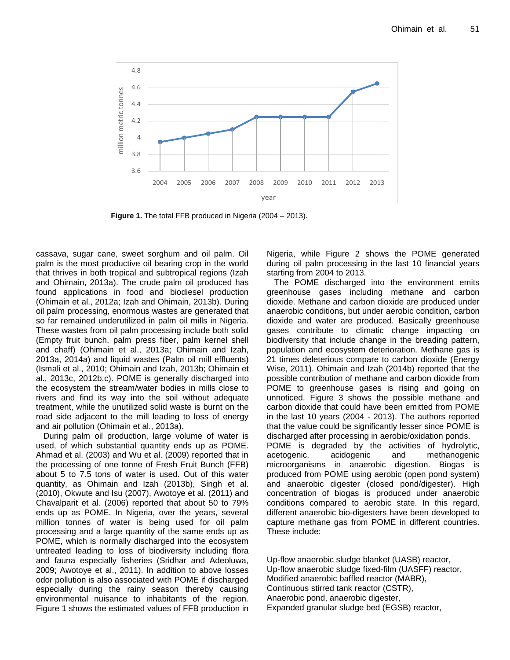

**Figure 1.** The total FFB produced in Nigeria (2004 – 2013).

cassava, sugar cane, sweet sorghum and oil palm. Oil palm is the most productive oil bearing crop in the world that thrives in both tropical and subtropical regions (Izah and Ohimain, 2013a). The crude palm oil produced has found applications in food and biodiesel production (Ohimain et al., 2012a; Izah and Ohimain, 2013b). During oil palm processing, enormous wastes are generated that so far remained underutilized in palm oil mills in Nigeria. These wastes from oil palm processing include both solid (Empty fruit bunch, palm press fiber, palm kernel shell and chaff) (Ohimain et al., 2013a; Ohimain and Izah, 2013a, 2014a) and liquid wastes (Palm oil mill effluents) (Ismali et al., 2010; Ohimain and Izah, 2013b; Ohimain et al., 2013c, 2012b,c). POME is generally discharged into the ecosystem the stream/water bodies in mills close to rivers and find its way into the soil without adequate treatment, while the unutilized solid waste is burnt on the road side adjacent to the mill leading to loss of energy and air pollution (Ohimain et al., 2013a).

During palm oil production, large volume of water is used, of which substantial quantity ends up as POME. Ahmad et al. (2003) and Wu et al. (2009) reported that in the processing of one tonne of Fresh Fruit Bunch (FFB) about 5 to 7.5 tons of water is used. Out of this water quantity, as Ohimain and Izah (2013b), Singh et al. (2010), Okwute and Isu (2007), Awotoye et al. (2011) and Chavalparit et al. (2006) reported that about 50 to 79% ends up as POME. In Nigeria, over the years, several million tonnes of water is being used for oil palm processing and a large quantity of the same ends up as POME, which is normally discharged into the ecosystem untreated leading to loss of biodiversity including flora and fauna especially fisheries (Sridhar and Adeoluwa, 2009; Awotoye et al., 2011). In addition to above losses odor pollution is also associated with POME if discharged especially during the rainy season thereby causing environmental nuisance to inhabitants of the region. Figure 1 shows the estimated values of FFB production in Nigeria, while Figure 2 shows the POME generated during oil palm processing in the last 10 financial years starting from 2004 to 2013.

The POME discharged into the environment emits greenhouse gases including methane and carbon dioxide. Methane and carbon dioxide are produced under anaerobic conditions, but under aerobic condition, carbon dioxide and water are produced. Basically greenhouse gases contribute to climatic change impacting on biodiversity that include change in the breading pattern, population and ecosystem deterioration. Methane gas is 21 times deleterious compare to carbon dioxide (Energy Wise, 2011). Ohimain and Izah (2014b) reported that the possible contribution of methane and carbon dioxide from POME to greenhouse gases is rising and going on unnoticed. Figure 3 shows the possible methane and carbon dioxide that could have been emitted from POME in the last 10 years (2004 - 2013). The authors reported that the value could be significantly lesser since POME is discharged after processing in aerobic/oxidation ponds. POME is degraded by the activities of hydrolytic, acetogenic, acidogenic and methanogenic microorganisms in anaerobic digestion. Biogas is produced from POME using aerobic (open pond system) and anaerobic digester (closed pond/digester). High concentration of biogas is produced under anaerobic conditions compared to aerobic state. In this regard, different anaerobic bio-digesters have been developed to capture methane gas from POME in different countries. These include:

Up-flow anaerobic sludge blanket (UASB) reactor, Up-flow anaerobic sludge fixed-film (UASFF) reactor, Modified anaerobic baffled reactor (MABR), Continuous stirred tank reactor (CSTR), Anaerobic pond, anaerobic digester, Expanded granular sludge bed (EGSB) reactor,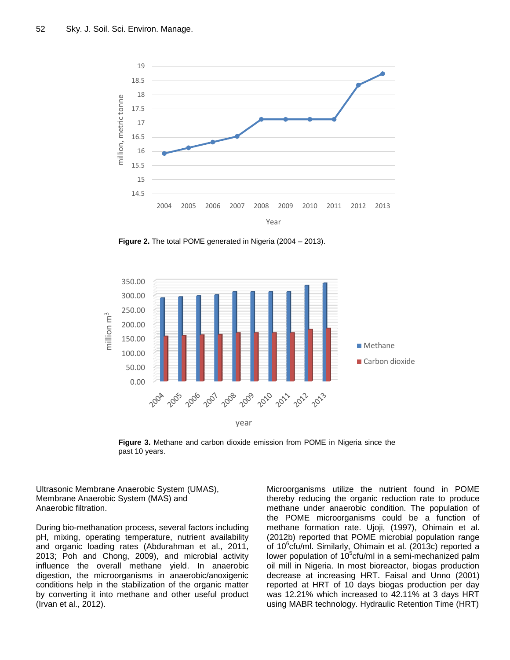

**Figure 2.** The total POME generated in Nigeria (2004 – 2013).



**Figure 3.** Methane and carbon dioxide emission from POME in Nigeria since the past 10 years.

Ultrasonic Membrane Anaerobic System (UMAS), Membrane Anaerobic System (MAS) and Anaerobic filtration.

During bio-methanation process, several factors including pH, mixing, operating temperature, nutrient availability and organic loading rates (Abdurahman et al., 2011, 2013; Poh and Chong, 2009), and microbial activity influence the overall methane yield. In anaerobic digestion, the microorganisms in anaerobic/anoxigenic conditions help in the stabilization of the organic matter by converting it into methane and other useful product (Irvan et al., 2012).

Microorganisms utilize the nutrient found in POME thereby reducing the organic reduction rate to produce methane under anaerobic condition. The population of the POME microorganisms could be a function of methane formation rate. Ujoji, (1997), Ohimain et al. (2012b) reported that POME microbial population range of 10<sup>6</sup>cfu/ml. Similarly, Ohimain et al. (2013c) reported a lower population of 10<sup>5</sup>cfu/ml in a semi-mechanized palm oil mill in Nigeria. In most bioreactor, biogas production decrease at increasing HRT. Faisal and Unno (2001) reported at HRT of 10 days biogas production per day was 12.21% which increased to 42.11% at 3 days HRT using MABR technology. Hydraulic Retention Time (HRT)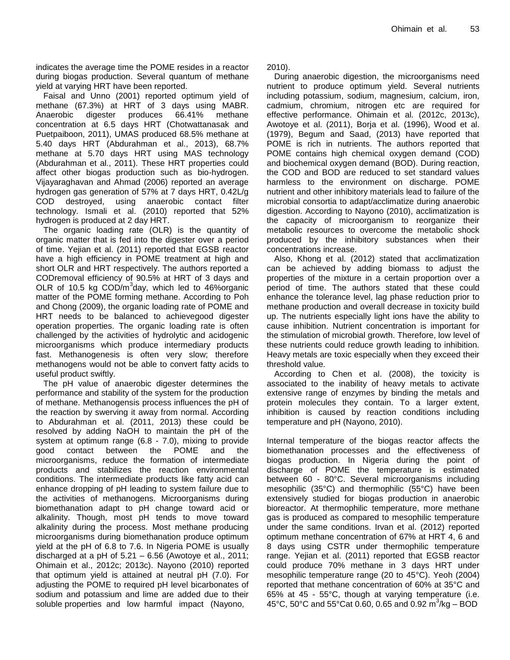indicates the average time the POME resides in a reactor during biogas production. Several quantum of methane yield at varying HRT have been reported.

Faisal and Unno (2001) reported optimum yield of methane (67.3%) at HRT of 3 days using MABR. Anaerobic digester produces 66.41% methane concentration at 6.5 days HRT (Chotwattanasak and Puetpaiboon, 2011), UMAS produced 68.5% methane at 5.40 days HRT (Abdurahman et al., 2013), 68.7% methane at 5.70 days HRT using MAS technology (Abdurahman et al., 2011). These HRT properties could affect other biogas production such as bio-hydrogen. Vijayaraghavan and Ahmad (2006) reported an average hydrogen gas generation of 57% at 7 days HRT, 0.42L/g COD destroyed, using anaerobic contact filter technology. Ismali et al. (2010) reported that 52% hydrogen is produced at 2 day HRT.

The organic loading rate (OLR) is the quantity of organic matter that is fed into the digester over a period of time. Yejian et al. (2011) reported that EGSB reactor have a high efficiency in POME treatment at high and short OLR and HRT respectively. The authors reported a CODremoval efficiency of 90.5% at HRT of 3 days and OLR of 10.5 kg  $\text{COD/m}^3$ day, which led to 46% organic matter of the POME forming methane. According to Poh and Chong (2009), the organic loading rate of POME and HRT needs to be balanced to achievegood digester operation properties. The organic loading rate is often challenged by the activities of hydrolytic and acidogenic microorganisms which produce intermediary products fast. Methanogenesis is often very slow; therefore methanogens would not be able to convert fatty acids to useful product swiftly.

The pH value of anaerobic digester determines the performance and stability of the system for the production of methane. Methanogensis process influences the pH of the reaction by swerving it away from normal. According to Abdurahman et al. (2011, 2013) these could be resolved by adding NaOH to maintain the pH of the system at optimum range (6.8 - 7.0), mixing to provide good contact between the POME and the microorganisms, reduce the formation of intermediate products and stabilizes the reaction environmental conditions. The intermediate products like fatty acid can enhance dropping of pH leading to system failure due to the activities of methanogens. Microorganisms during biomethanation adapt to pH change toward acid or alkalinity. Though, most pH tends to move toward alkalinity during the process. Most methane producing microorganisms during biomethanation produce optimum yield at the pH of 6.8 to 7.6. In Nigeria POME is usually discharged at a pH of 5.21 – 6.56 (Awotoye et al., 2011; Ohimain et al., 2012c; 2013c). Nayono (2010) reported that optimum yield is attained at neutral pH (7.0). For adjusting the POME to required pH level bicarbonates of sodium and potassium and lime are added due to their soluble properties and low harmful impact (Nayono,

2010).

During anaerobic digestion, the microorganisms need nutrient to produce optimum yield. Several nutrients including potassium, sodium, magnesium, calcium, iron, cadmium, chromium, nitrogen etc are required for effective performance. Ohimain et al. (2012c, 2013c), Awotoye et al. (2011), Borja et al. (1996), Wood et al. (1979), Begum and Saad, (2013) have reported that POME is rich in nutrients. The authors reported that POME contains high chemical oxygen demand (COD) and biochemical oxygen demand (BOD). During reaction, the COD and BOD are reduced to set standard values harmless to the environment on discharge. POME nutrient and other inhibitory materials lead to failure of the microbial consortia to adapt/acclimatize during anaerobic digestion. According to Nayono (2010), acclimatization is the capacity of microorganism to reorganize their metabolic resources to overcome the metabolic shock produced by the inhibitory substances when their concentrations increase.

Also, Khong et al. (2012) stated that acclimatization can be achieved by adding biomass to adjust the properties of the mixture in a certain proportion over a period of time. The authors stated that these could enhance the tolerance level, lag phase reduction prior to methane production and overall decrease in toxicity build up. The nutrients especially light ions have the ability to cause inhibition. Nutrient concentration is important for the stimulation of microbial growth. Therefore, low level of these nutrients could reduce growth leading to inhibition. Heavy metals are toxic especially when they exceed their threshold value.

According to Chen et al. (2008), the toxicity is associated to the inability of heavy metals to activate extensive range of enzymes by binding the metals and protein molecules they contain. To a larger extent, inhibition is caused by reaction conditions including temperature and pH (Nayono, 2010).

Internal temperature of the biogas reactor affects the biomethanation processes and the effectiveness of biogas production. In Nigeria during the point of discharge of POME the temperature is estimated between 60 - 80°C. Several microorganisms including mesophilic (35°C) and thermophilic (55°C) have been extensively studied for biogas production in anaerobic bioreactor. At thermophilic temperature, more methane gas is produced as compared to mesophilic temperature under the same conditions. Irvan et al. (2012) reported optimum methane concentration of 67% at HRT 4, 6 and 8 days using CSTR under thermophilic temperature range. Yejian et al. (2011) reported that EGSB reactor could produce 70% methane in 3 days HRT under mesophilic temperature range (20 to 45°C). Yeoh (2004) reported that methane concentration of 60% at 35°C and 65% at 45 - 55°C, though at varying temperature (i.e. 45°C, 50°C and 55°Cat 0.60, 0.65 and 0.92 m<sup>3</sup>/kg – BOD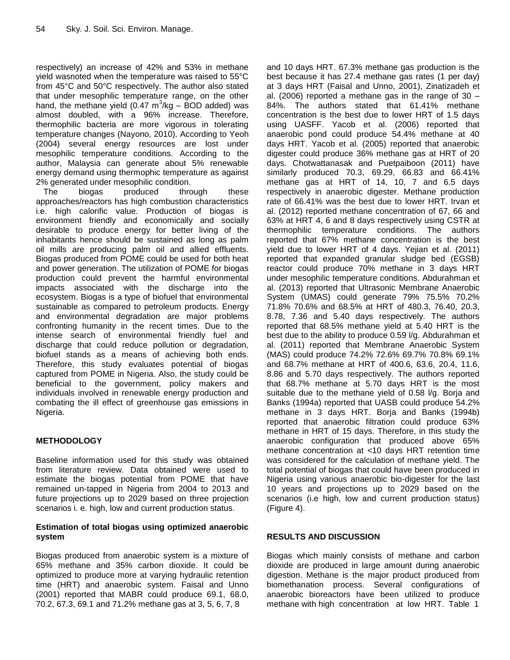respectively) an increase of 42% and 53% in methane yield wasnoted when the temperature was raised to 55°C from 45°C and 50°C respectively. The author also stated that under mesophilic temperature range, on the other hand, the methane yield (0.47  $m^3$ /kg – BOD added) was almost doubled, with a 96% increase. Therefore, thermophilic bacteria are more vigorous in tolerating temperature changes (Nayono, 2010). According to Yeoh (2004) several energy resources are lost under mesophilic temperature conditions. According to the author, Malaysia can generate about 5% renewable energy demand using thermophic temperature as against 2% generated under mesophilic condition.

The biogas produced through these approaches/reactors has high combustion characteristics i.e. high calorific value. Production of biogas is environment friendly and economically and socially desirable to produce energy for better living of the inhabitants hence should be sustained as long as palm oil mills are producing palm oil and allied effluents. Biogas produced from POME could be used for both heat and power generation. The utilization of POME for biogas production could prevent the harmful environmental impacts associated with the discharge into the ecosystem. Biogas is a type of biofuel that environmental sustainable as compared to petroleum products. Energy and environmental degradation are major problems confronting humanity in the recent times. Due to the intense search of environmental friendly fuel and discharge that could reduce pollution or degradation, biofuel stands as a means of achieving both ends. Therefore, this study evaluates potential of biogas captured from POME in Nigeria. Also, the study could be beneficial to the government, policy makers and individuals involved in renewable energy production and combating the ill effect of greenhouse gas emissions in Nigeria.

# **METHODOLOGY**

Baseline information used for this study was obtained from literature review. Data obtained were used to estimate the biogas potential from POME that have remained un-tapped in Nigeria from 2004 to 2013 and future projections up to 2029 based on three projection scenarios i. e. high, low and current production status.

#### **Estimation of total biogas using optimized anaerobic system**

Biogas produced from anaerobic system is a mixture of 65% methane and 35% carbon dioxide. It could be optimized to produce more at varying hydraulic retention time (HRT) and anaerobic system. Faisal and Unno (2001) reported that MABR could produce 69.1, 68.0, 70.2, 67.3, 69.1 and 71.2% methane gas at 3, 5, 6, 7, 8

and 10 days HRT. 67.3% methane gas production is the best because it has 27.4 methane gas rates (1 per day) at 3 days HRT (Faisal and Unno, 2001), Zinatizadeh et al. (2006) reported a methane gas in the range of  $30 -$ 84%. The authors stated that 61.41% methane concentration is the best due to lower HRT of 1.5 days using UASFF. Yacob et al. (2006) reported that anaerobic pond could produce 54.4% methane at 40 days HRT. Yacob et al. (2005) reported that anaerobic digester could produce 36% methane gas at HRT of 20 days. Chotwattanasak and Puetpaiboon (2011) have similarly produced 70.3, 69.29, 66.83 and 66.41% methane gas at HRT of 14, 10, 7 and 6.5 days respectively in anaerobic digester. Methane production rate of 66.41% was the best due to lower HRT. Irvan et al. (2012) reported methane concentration of 67, 66 and 63% at HRT 4, 6 and 8 days respectively using CSTR at thermophilic temperature conditions. The authors reported that 67% methane concentration is the best yield due to lower HRT of 4 days. Yejian et al. (2011) reported that expanded granular sludge bed (EGSB) reactor could produce 70% methane in 3 days HRT under mesophilic temperature conditions. Abdurahman et al. (2013) reported that Ultrasonic Membrane Anaerobic System (UMAS) could generate 79% 75.5% 70.2% 71.8% 70.6% and 68.5% at HRT of 480.3, 76.40, 20.3, 8.78, 7.36 and 5.40 days respectively. The authors reported that 68.5% methane yield at 5.40 HRT is the best due to the ability to produce 0.59 l/g. Abdurahman et al. (2011) reported that Membrane Anaerobic System (MAS) could produce 74.2% 72.6% 69.7% 70.8% 69.1% and 68.7% methane at HRT of 400.6, 63.6, 20.4, 11.6, 8.86 and 5.70 days respectively. The authors reported that 68.7% methane at 5.70 days HRT is the most suitable due to the methane yield of 0.58 l/g. Borja and Banks (1994a) reported that UASB could produce 54.2% methane in 3 days HRT. Borja and Banks (1994b) reported that anaerobic filtration could produce 63% methane in HRT of 15 days. Therefore, in this study the anaerobic configuration that produced above 65% methane concentration at <10 days HRT retention time was considered for the calculation of methane yield. The total potential of biogas that could have been produced in Nigeria using various anaerobic bio-digester for the last 10 years and projections up to 2029 based on the scenarios (i.e high, low and current production status) (Figure 4).

# **RESULTS AND DISCUSSION**

Biogas which mainly consists of methane and carbon dioxide are produced in large amount during anaerobic digestion. Methane is the major product produced from biomethanation process. Several configurations of anaerobic bioreactors have been utilized to produce methane with high concentration at low HRT. Table 1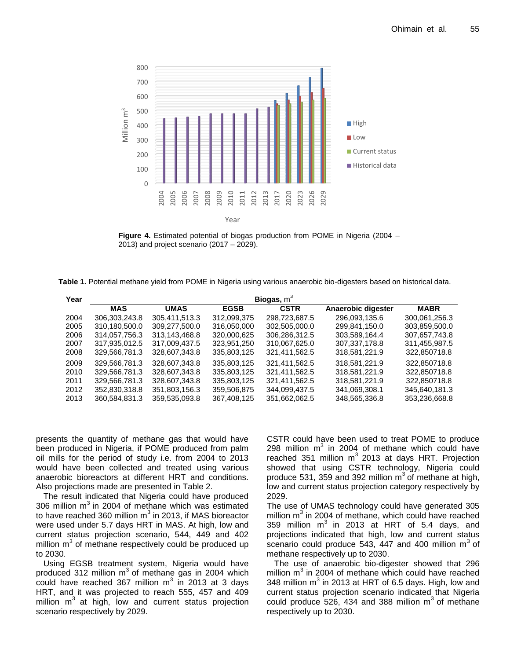

**Figure 4.** Estimated potential of biogas production from POME in Nigeria (2004 – 2013) and project scenario (2017 – 2029).

**Table 1.** Potential methane yield from POME in Nigeria using various anaerobic bio-digesters based on historical data.

| Year | Biogas, $m^3$ |               |             |               |                    |               |  |  |  |
|------|---------------|---------------|-------------|---------------|--------------------|---------------|--|--|--|
|      | <b>MAS</b>    | <b>UMAS</b>   | <b>EGSB</b> | <b>CSTR</b>   | Anaerobic digester | <b>MABR</b>   |  |  |  |
| 2004 | 306.303.243.8 | 305.411.513.3 | 312.099.375 | 298.723.687.5 | 296.093.135.6      | 300.061.256.3 |  |  |  |
| 2005 | 310.180.500.0 | 309,277,500.0 | 316.050.000 | 302.505.000.0 | 299.841.150.0      | 303,859,500.0 |  |  |  |
| 2006 | 314.057.756.3 | 313.143.468.8 | 320,000,625 | 306.286.312.5 | 303.589.164.4      | 307,657,743.8 |  |  |  |
| 2007 | 317,935,012.5 | 317,009,437.5 | 323,951,250 | 310,067,625.0 | 307, 337, 178.8    | 311,455,987.5 |  |  |  |
| 2008 | 329,566,781.3 | 328,607,343.8 | 335,803,125 | 321,411,562.5 | 318,581,221.9      | 322,850718.8  |  |  |  |
| 2009 | 329,566,781.3 | 328,607,343.8 | 335,803,125 | 321,411,562.5 | 318,581,221.9      | 322.850718.8  |  |  |  |
| 2010 | 329,566,781.3 | 328.607.343.8 | 335,803,125 | 321,411,562.5 | 318,581,221.9      | 322,850718.8  |  |  |  |
| 2011 | 329,566,781.3 | 328,607,343.8 | 335,803,125 | 321,411,562.5 | 318,581,221.9      | 322.850718.8  |  |  |  |
| 2012 | 352,830,318.8 | 351,803,156.3 | 359,506,875 | 344,099,437.5 | 341,069,308.1      | 345,640,181.3 |  |  |  |
| 2013 | 360,584,831.3 | 359,535,093.8 | 367,408,125 | 351,662,062.5 | 348,565,336.8      | 353,236,668.8 |  |  |  |

presents the quantity of methane gas that would have been produced in Nigeria, if POME produced from palm oil mills for the period of study i.e. from 2004 to 2013 would have been collected and treated using various anaerobic bioreactors at different HRT and conditions. Also projections made are presented in Table 2.

The result indicated that Nigeria could have produced 306 million  $m^3$  in 2004 of methane which was estimated to have reached 360 million m<sup>3</sup> in 2013, if MAS bioreactor were used under 5.7 days HRT in MAS. At high, low and current status projection scenario, 544, 449 and 402 million  $m^3$  of methane respectively could be produced up to 2030.

Using EGSB treatment system, Nigeria would have produced 312 million  $m^3$  of methane gas in 2004 which could have reached 367 million m<sup>3</sup> in 2013 at 3 days HRT, and it was projected to reach 555, 457 and 409 million  $m^3$  at high, low and current status projection scenario respectively by 2029.

CSTR could have been used to treat POME to produce 298 million  $m^3$  in 2004 of methane which could have reached 351 million m<sup>3</sup> 2013 at days HRT. Projection showed that using CSTR technology, Nigeria could produce 531, 359 and 392 million  $m^3$  of methane at high, low and current status projection category respectively by 2029.

The use of UMAS technology could have generated 305 million  $m^3$  in 2004 of methane, which could have reached 359 million m<sup>3</sup> in 2013 at HRT of 5.4 days, and projections indicated that high, low and current status scenario could produce 543, 447 and 400 million  $m^3$  of methane respectively up to 2030.

The use of anaerobic bio-digester showed that 296 million m<sup>3</sup> in 2004 of methane which could have reached 348 million m<sup>3</sup> in 2013 at HRT of 6.5 days. High, low and current status projection scenario indicated that Nigeria could produce  $526$ , 434 and 388 million  $m^3$  of methane respectively up to 2030.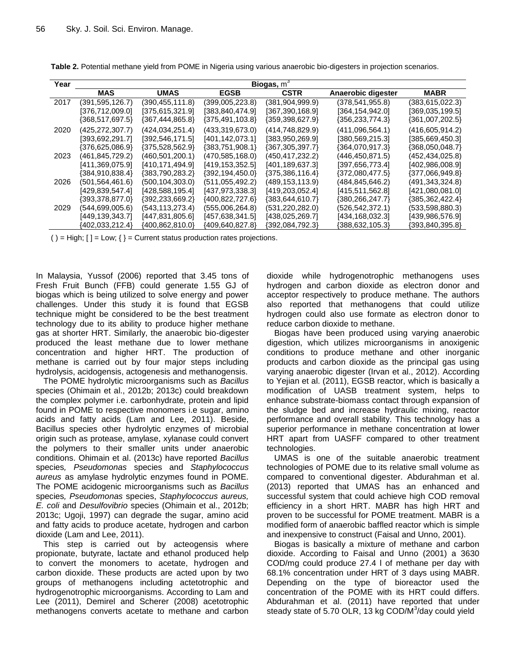| Year | Biogas, $m^3$     |                   |                   |                   |                       |                 |  |  |  |
|------|-------------------|-------------------|-------------------|-------------------|-----------------------|-----------------|--|--|--|
|      | MAS               | <b>UMAS</b>       | <b>EGSB</b>       | <b>CSTR</b>       | Anaerobic digester    | <b>MABR</b>     |  |  |  |
| 2017 | (391,595,126.7)   | (390,455,111.8)   | (399,005,223.8)   | (381, 904, 999.9) | (378,541,955.8)       | (383,615,022.3) |  |  |  |
|      | [376,712,009.0]   | [375,615,321.9]   | [383,840,474.9]   | [367,390,168.9]   | [364, 154, 942.0]     | [369,035,199.5] |  |  |  |
|      | {368,517,697.5}   | ${367,444,865.8}$ | ${375,491,103.8}$ | {359,398,627.9}   | ${356, 233, 774.3}$   | {361,007,202.5} |  |  |  |
| 2020 | (425, 272, 307.7) | (424,034,251.4)   | (433, 319, 673.0) | (414, 748, 829.9) | (411,096,564.1)       | (416,605,914.2) |  |  |  |
|      | [393,692,291.7]   | [392,546,171.5]   | [401,142,073.1]   | [383,950,269.9]   | [380, 569, 215.3]     | [385,669,450.3] |  |  |  |
|      | {376,625,086.9}   | ${375,528,562.9}$ | ${383,751,908.1}$ | {367,305,397.7}   | ${364,070,917.3}$     | {368,050,048.7} |  |  |  |
| 2023 | (461,845,729.2)   | (460,501,200.1)   | (470,585,168.0)   | (450, 417, 232.2) | (446,450,871.5)       | (452,434,025.8) |  |  |  |
|      | [411,369,075.9]   | [410,171,494.9]   | [419,153,352.5]   | [401,189,637.3]   | [397, 656, 773.4]     | [402,986,008.9] |  |  |  |
|      | {384,910,838.4}   | ${383,790,283.2}$ | {392,194,450.0}   | ${375,386,116.4}$ | ${372,080,477.5}$     | {377,066,949.8} |  |  |  |
| 2026 | (501,564,461.6)   | (500, 104, 303.0) | (511, 055, 492.2) | (489,153,113.9)   | (484,845,646.2)       | (491,343,324.8) |  |  |  |
|      | [429, 839, 547.4] | [428, 588, 195.4] | [437,973,338.3]   | [419, 203, 052.4] | [415,511,562.8]       | [421,080,081.0] |  |  |  |
|      | {393,378,877.0}   | ${392,233,669.2}$ | ${400,822,727.6}$ | {383,644,610.7}   | $\{380, 266, 247.7\}$ | {385,362,422.4} |  |  |  |
| 2029 | (544,699,005.6)   | (543, 113, 273.4) | (555,006,264.8)   | (531,220,282.0)   | (526,542,372.1)       | (533,598,880.3) |  |  |  |
|      | [449, 139, 343.7] | [447,831,805.6]   | [457,638,341.5]   | [438,025,269.7]   | [434,168,032.3]       | [439,986,576.9] |  |  |  |
|      | {402,033,212.4}   | {400,862,810.0}   | {409,640,827.8}   | {392,084,792.3}   | {388,632,105.3}       | {393,840,395.8} |  |  |  |

**Table 2.** Potential methane yield from POME in Nigeria using various anaerobic bio-digesters in projection scenarios.

( ) = High;  $[] = Low$ ;  $] = Current$  status production rates projections.

In Malaysia, Yussof (2006) reported that 3.45 tons of Fresh Fruit Bunch (FFB) could generate 1.55 GJ of biogas which is being utilized to solve energy and power challenges. Under this study it is found that EGSB technique might be considered to be the best treatment technology due to its ability to produce higher methane gas at shorter HRT. Similarly, the anaerobic bio-digester produced the least methane due to lower methane concentration and higher HRT. The production of methane is carried out by four major steps including hydrolysis, acidogensis, actogenesis and methanogensis.

The POME hydrolytic microorganisms such as *Bacillus* species (Ohimain et al., 2012b; 2013c) could breakdown the complex polymer i.e. carbonhydrate, protein and lipid found in POME to respective monomers i.e sugar, amino acids and fatty acids (Lam and Lee, 2011). Beside, Bacillus species other hydrolytic enzymes of microbial origin such as protease, amylase, xylanase could convert the polymers to their smaller units under anaerobic conditions. Ohimain et al. (2013c) have reported *Bacillus* species*, Pseudomonas* species and *Staphylococcus aureus* as amylase hydrolytic enzymes found in POME. The POME acidogenic microorganisms such as *Bacillus* species*, Pseudomonas* species, *Staphylococcus aureus, E. coli* and *Desulfovibrio* species (Ohimain et al., 2012b; 2013c; Ugoji, 1997) can degrade the sugar, amino acid and fatty acids to produce acetate, hydrogen and carbon dioxide (Lam and Lee, 2011).

This step is carried out by acteogensis where propionate, butyrate, lactate and ethanol produced help to convert the monomers to acetate, hydrogen and carbon dioxide. These products are acted upon by two groups of methanogens including actetotrophic and hydrogenotrophic microorganisms. According to Lam and Lee (2011), Demirel and Scherer (2008) acetotrophic methanogens converts acetate to methane and carbon dioxide while hydrogenotrophic methanogens uses hydrogen and carbon dioxide as electron donor and acceptor respectively to produce methane. The authors also reported that methanogens that could utilize hydrogen could also use formate as electron donor to reduce carbon dioxide to methane.

Biogas have been produced using varying anaerobic digestion, which utilizes microorganisms in anoxigenic conditions to produce methane and other inorganic products and carbon dioxide as the principal gas using varying anaerobic digester (Irvan et al., 2012). According to Yejian et al. (2011), EGSB reactor, which is basically a modification of UASB treatment system, helps to enhance substrate-biomass contact through expansion of the sludge bed and increase hydraulic mixing, reactor performance and overall stability. This technology has a superior performance in methane concentration at lower HRT apart from UASFF compared to other treatment technologies.

UMAS is one of the suitable anaerobic treatment technologies of POME due to its relative small volume as compared to conventional digester. Abdurahman et al. (2013) reported that UMAS has an enhanced and successful system that could achieve high COD removal efficiency in a short HRT. MABR has high HRT and proven to be successful for POME treatment. MABR is a modified form of anaerobic baffled reactor which is simple and inexpensive to construct (Faisal and Unno, 2001).

Biogas is basically a mixture of methane and carbon dioxide. According to Faisal and Unno (2001) a 3630 COD/mg could produce 27.4 l of methane per day with 68.1% concentration under HRT of 3 days using MABR. Depending on the type of bioreactor used the concentration of the POME with its HRT could differs. Abdurahman et al. (2011) have reported that under steady state of 5.70 OLR, 13 kg COD/M<sup>3</sup>/day could yield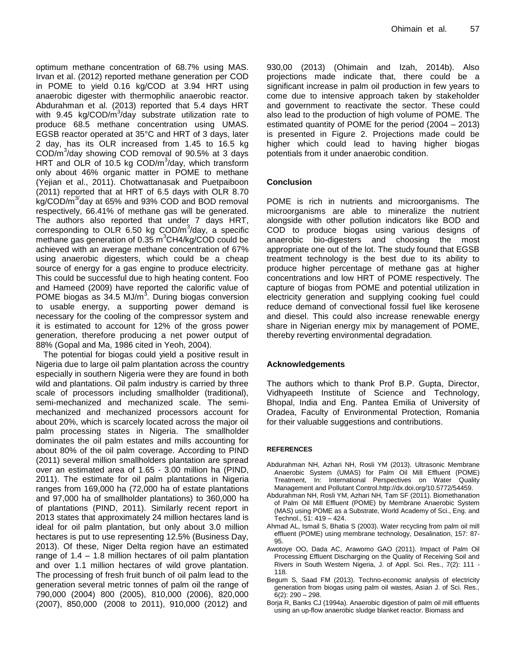optimum methane concentration of 68.7% using MAS. Irvan et al. (2012) reported methane generation per COD in POME to yield 0.16 kg/COD at 3.94 HRT using anaerobic digester with thermophilic anaerobic reactor. Abdurahman et al. (2013) reported that 5.4 days HRT with 9.45 kg/COD/m<sup>3</sup>/day substrate utilization rate to produce 68.5 methane concentration using UMAS. EGSB reactor operated at 35°C and HRT of 3 days, later 2 day, has its OLR increased from 1.45 to 16.5 kg  $\text{COD/m}^3$ /day showing COD removal of 90.5% at 3 days HRT and OLR of 10.5 kg  $\text{COD/m}^3/\text{day}$ , which transform only about 46% organic matter in POME to methane (Yejian et al., 2011). Chotwattanasak and Puetpaiboon (2011) reported that at HRT of 6.5 days with OLR 8.70 kg/COD/m<sup>3</sup>day at 65% and 93% COD and BOD removal respectively, 66.41% of methane gas will be generated. The authors also reported that under 7 days HRT, corresponding to OLR 6.50 kg  $\text{COD/m}^3$ /day, a specific methane gas generation of  $0.35 \text{ m}^3\text{CH4/kg/COD}$  could be achieved with an average methane concentration of 67% using anaerobic digesters, which could be a cheap source of energy for a gas engine to produce electricity. This could be successful due to high heating content. Foo and Hameed (2009) have reported the calorific value of POME biogas as  $34.5$  MJ/m<sup>3</sup>. During biogas conversion to usable energy, a supporting power demand is necessary for the cooling of the compressor system and it is estimated to account for 12% of the gross power generation, therefore producing a net power output of 88% (Gopal and Ma, 1986 cited in Yeoh, 2004).

The potential for biogas could yield a positive result in Nigeria due to large oil palm plantation across the country especially in southern Nigeria were they are found in both wild and plantations. Oil palm industry is carried by three scale of processors including smallholder (traditional), semi-mechanized and mechanized scale. The semimechanized and mechanized processors account for about 20%, which is scarcely located across the major oil palm processing states in Nigeria. The smallholder dominates the oil palm estates and mills accounting for about 80% of the oil palm coverage. According to PIND (2011) several million smallholders plantation are spread over an estimated area of 1.65 - 3.00 million ha (PIND, 2011). The estimate for oil palm plantations in Nigeria ranges from 169,000 ha (72,000 ha of estate plantations and 97,000 ha of smallholder plantations) to 360,000 ha of plantations (PIND, 2011). Similarly recent report in 2013 states that approximately 24 million hectares land is ideal for oil palm plantation, but only about 3.0 million hectares is put to use representing 12.5% (Business Day, 2013). Of these, Niger Delta region have an estimated range of 1.4 – 1.8 million hectares of oil palm plantation and over 1.1 million hectares of wild grove plantation. The processing of fresh fruit bunch of oil palm lead to the generation several metric tonnes of palm oil the range of 790,000 (2004) 800 (2005), 810,000 (2006), 820,000 (2007), 850,000 (2008 to 2011), 910,000 (2012) and

930,00 (2013) (Ohimain and Izah, 2014b). Also projections made indicate that, there could be a significant increase in palm oil production in few years to come due to intensive approach taken by stakeholder and government to reactivate the sector. These could also lead to the production of high volume of POME. The estimated quantity of POME for the period (2004 – 2013) is presented in Figure 2. Projections made could be higher which could lead to having higher biogas potentials from it under anaerobic condition.

#### **Conclusion**

POME is rich in nutrients and microorganisms. The microorganisms are able to mineralize the nutrient alongside with other pollution indicators like BOD and COD to produce biogas using various designs of anaerobic bio-digesters and choosing the most appropriate one out of the lot. The study found that EGSB treatment technology is the best due to its ability to produce higher percentage of methane gas at higher concentrations and low HRT of POME respectively. The capture of biogas from POME and potential utilization in electricity generation and supplying cooking fuel could reduce demand of convectional fossil fuel like kerosene and diesel. This could also increase renewable energy share in Nigerian energy mix by management of POME, thereby reverting environmental degradation.

#### **Acknowledgements**

The authors which to thank Prof B.P. Gupta, Director, Vidhyapeeth Institute of Science and Technology, Bhopal, India and Eng. Pantea Emilia of University of Oradea, Faculty of Environmental Protection, Romania for their valuable suggestions and contributions.

#### **REFERENCES**

- Abdurahman NH, Azhari NH, Rosli YM (2013). Ultrasonic Membrane Anaerobic System (UMAS) for Palm Oil Mill Effluent (POME) Treatment, In: International Perspectives on Water Quality Management and Pollutant Contro[l.http://dx.doi.org/10.5772/54459.](http://dx.doi.org/10.5772/54459)
- Abdurahman NH, Rosli YM, Azhari NH, Tam SF (2011). Biomethanation of Palm Oil Mill Effluent (POME) by Membrane Anaerobic System (MAS) using POME as a Substrate, World Academy of Sci., Eng. and Technol., 51: 419 – 424.
- Ahmad AL, Ismail S, Bhatia S (2003). Water recycling from palm oil mill effluent (POME) using membrane technology, Desalination, 157: 87- 95.
- Awotoye OO, Dada AC, Arawomo GAO (2011). Impact of Palm Oil Processing Effluent Discharging on the Quality of Receiving Soil and Rivers in South Western Nigeria, J. of Appl. Sci. Res., 7(2): 111 - 118.
- Begum S, Saad FM (2013). Techno-economic analysis of electricity generation from biogas using palm oil wastes, Asian J. of Sci. Res., 6(2): 290 – 298.
- Borja R, Banks CJ (1994a). Anaerobic digestion of palm oil mill effluents using an up-flow anaerobic sludge blanket reactor. Biomass and